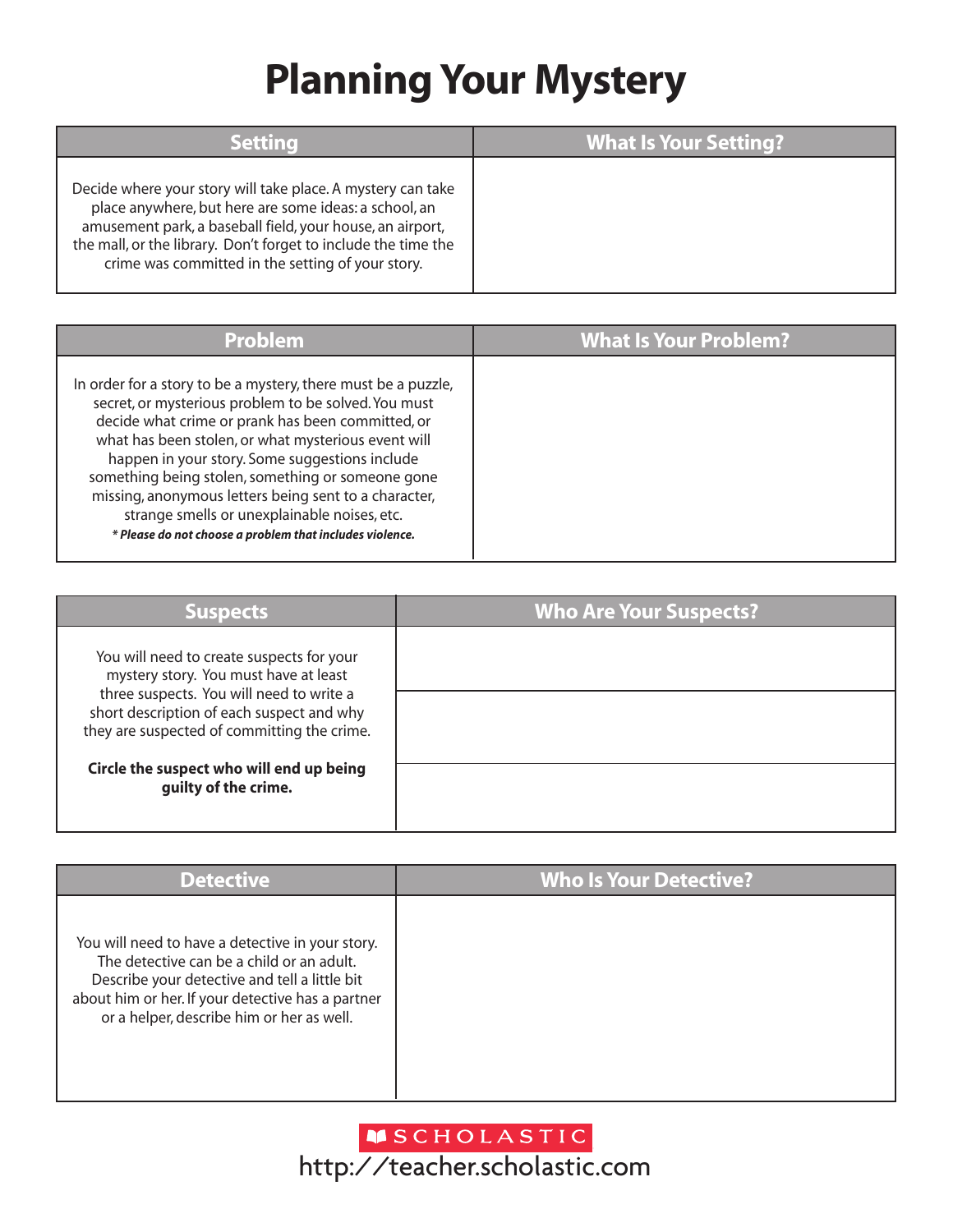## **Planning Your Mystery**

| Settina                                                                                                                                                                                                                                                                                                  | <b>What Is Your Setting?</b> |
|----------------------------------------------------------------------------------------------------------------------------------------------------------------------------------------------------------------------------------------------------------------------------------------------------------|------------------------------|
| Decide where your story will take place. A mystery can take<br>place anywhere, but here are some ideas: a school, an<br>amusement park, a baseball field, your house, an airport,<br>the mall, or the library. Don't forget to include the time the<br>crime was committed in the setting of your story. |                              |

| Problem                                                                                                                                                                                                                                                                                                                                                                                                                                                                                                       | <b>What Is Your Problem?</b> |
|---------------------------------------------------------------------------------------------------------------------------------------------------------------------------------------------------------------------------------------------------------------------------------------------------------------------------------------------------------------------------------------------------------------------------------------------------------------------------------------------------------------|------------------------------|
| In order for a story to be a mystery, there must be a puzzle,<br>secret, or mysterious problem to be solved. You must<br>decide what crime or prank has been committed, or<br>what has been stolen, or what mysterious event will<br>happen in your story. Some suggestions include<br>something being stolen, something or someone gone<br>missing, anonymous letters being sent to a character,<br>strange smells or unexplainable noises, etc.<br>* Please do not choose a problem that includes violence. |                              |

| <b>Suspects</b>                                                                                                                                                                                                            | <b>Who Are Your Suspects?</b> |
|----------------------------------------------------------------------------------------------------------------------------------------------------------------------------------------------------------------------------|-------------------------------|
| You will need to create suspects for your<br>mystery story. You must have at least<br>three suspects. You will need to write a<br>short description of each suspect and why<br>they are suspected of committing the crime. |                               |
|                                                                                                                                                                                                                            |                               |
| Circle the suspect who will end up being<br>guilty of the crime.                                                                                                                                                           |                               |

| <b>Detective</b>                                                                                                                                                                                                                                 | <b>Who Is Your Detective?</b> |
|--------------------------------------------------------------------------------------------------------------------------------------------------------------------------------------------------------------------------------------------------|-------------------------------|
| You will need to have a detective in your story.<br>The detective can be a child or an adult.<br>Describe your detective and tell a little bit<br>about him or her. If your detective has a partner<br>or a helper, describe him or her as well. |                               |